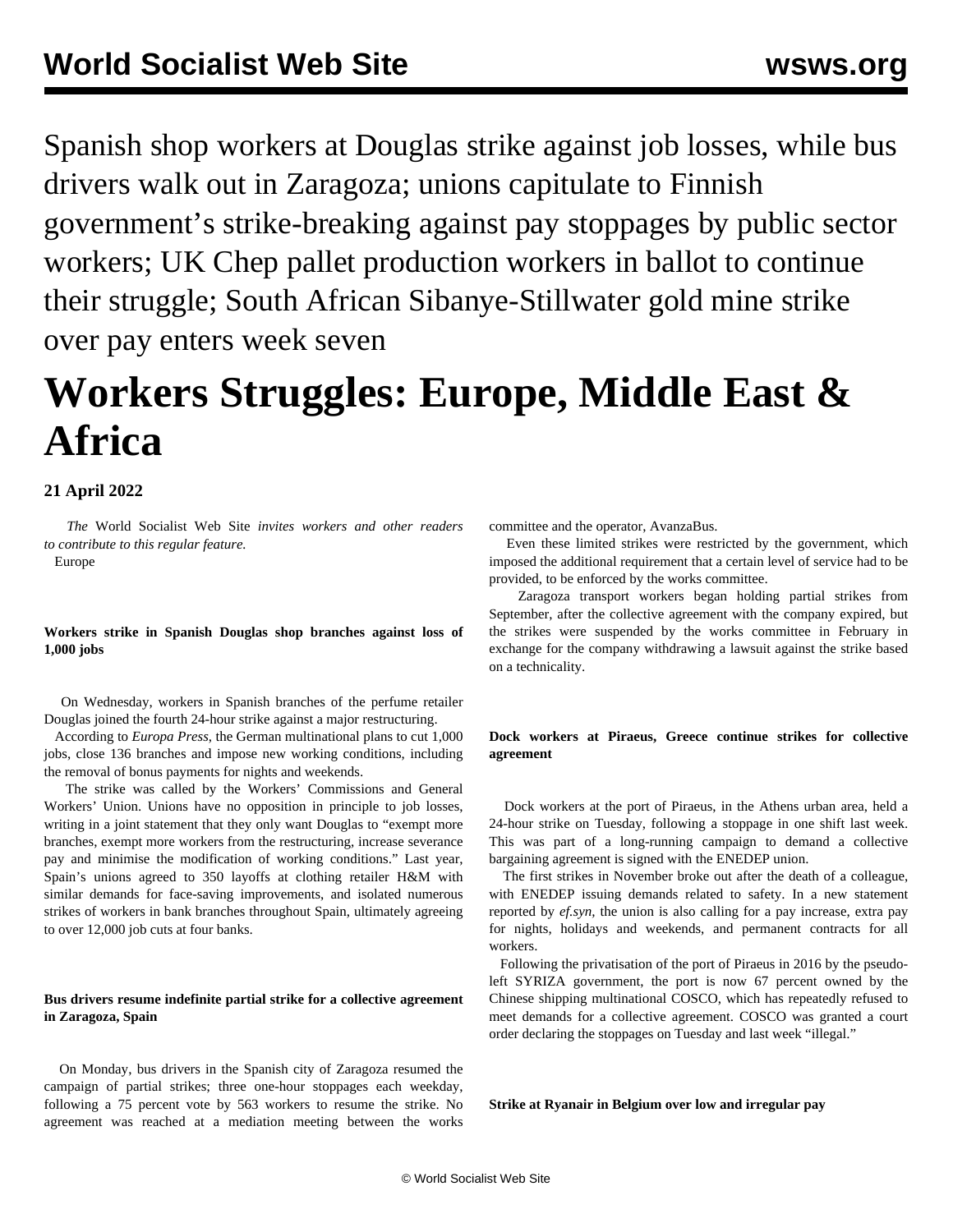Spanish shop workers at Douglas strike against job losses, while bus drivers walk out in Zaragoza; unions capitulate to Finnish government's strike-breaking against pay stoppages by public sector workers; UK Chep pallet production workers in ballot to continue their struggle; South African Sibanye-Stillwater gold mine strike over pay enters week seven

# **Workers Struggles: Europe, Middle East & Africa**

## **21 April 2022**

 *The* World Socialist Web Site *invites workers and other readers to [contribute](/wsws/dd-formmailer/dd-formmailer.php) to this regular feature.*

Europe

**Workers strike in Spanish Douglas shop branches against loss of 1,000 jobs**

 On Wednesday, workers in Spanish branches of the perfume retailer Douglas joined the fourth 24-hour strike against a major restructuring.

 According to *Europa Press*, the German multinational plans to cut 1,000 jobs, close 136 branches and impose new working conditions, including the removal of bonus payments for nights and weekends.

 The strike was called by the Workers' Commissions and General Workers' Union. Unions have no opposition in principle to job losses, writing in a joint statement that they only want Douglas to "exempt more branches, exempt more workers from the restructuring, increase severance pay and minimise the modification of working conditions." Last year, Spain's unions agreed to 350 layoffs at clothing retailer H&M with similar demands for face-saving improvements, and isolated numerous strikes of workers in bank branches throughout Spain, ultimately agreeing to over 12,000 job cuts at four banks.

## **Bus drivers resume indefinite partial strike for a collective agreement in Zaragoza, Spain**

 On Monday, bus drivers in the Spanish city of Zaragoza resumed the campaign of partial strikes; three one-hour stoppages each weekday, following a 75 percent vote by 563 workers to resume the strike. No agreement was reached at a mediation meeting between the works committee and the operator, AvanzaBus.

 Even these limited strikes were restricted by the government, which imposed the additional requirement that a certain level of service had to be provided, to be enforced by the works committee.

 Zaragoza transport workers began holding partial strikes from September, after the collective agreement with the company expired, but the strikes were suspended by the works committee in February in exchange for the company withdrawing a lawsuit against the strike based on a technicality.

## **Dock workers at Piraeus, Greece continue strikes for collective agreement**

 Dock workers at the port of Piraeus, in the Athens urban area, held a 24-hour strike on Tuesday, following a stoppage in one shift last week. This was part of a long-running campaign to demand a collective bargaining agreement is signed with the ENEDEP union.

 The first strikes in November broke out after the death of a colleague, with ENEDEP issuing demands related to safety. In a new statement reported by *ef.syn,* the union is also calling for a pay increase, extra pay for nights, holidays and weekends, and permanent contracts for all workers.

 Following the privatisation of the port of Piraeus in 2016 by the pseudoleft SYRIZA government, the port is now 67 percent owned by the Chinese shipping multinational COSCO, which has repeatedly refused to meet demands for a collective agreement. COSCO was granted a court order declaring the stoppages on Tuesday and last week "illegal."

**Strike at Ryanair in Belgium over low and irregular pay**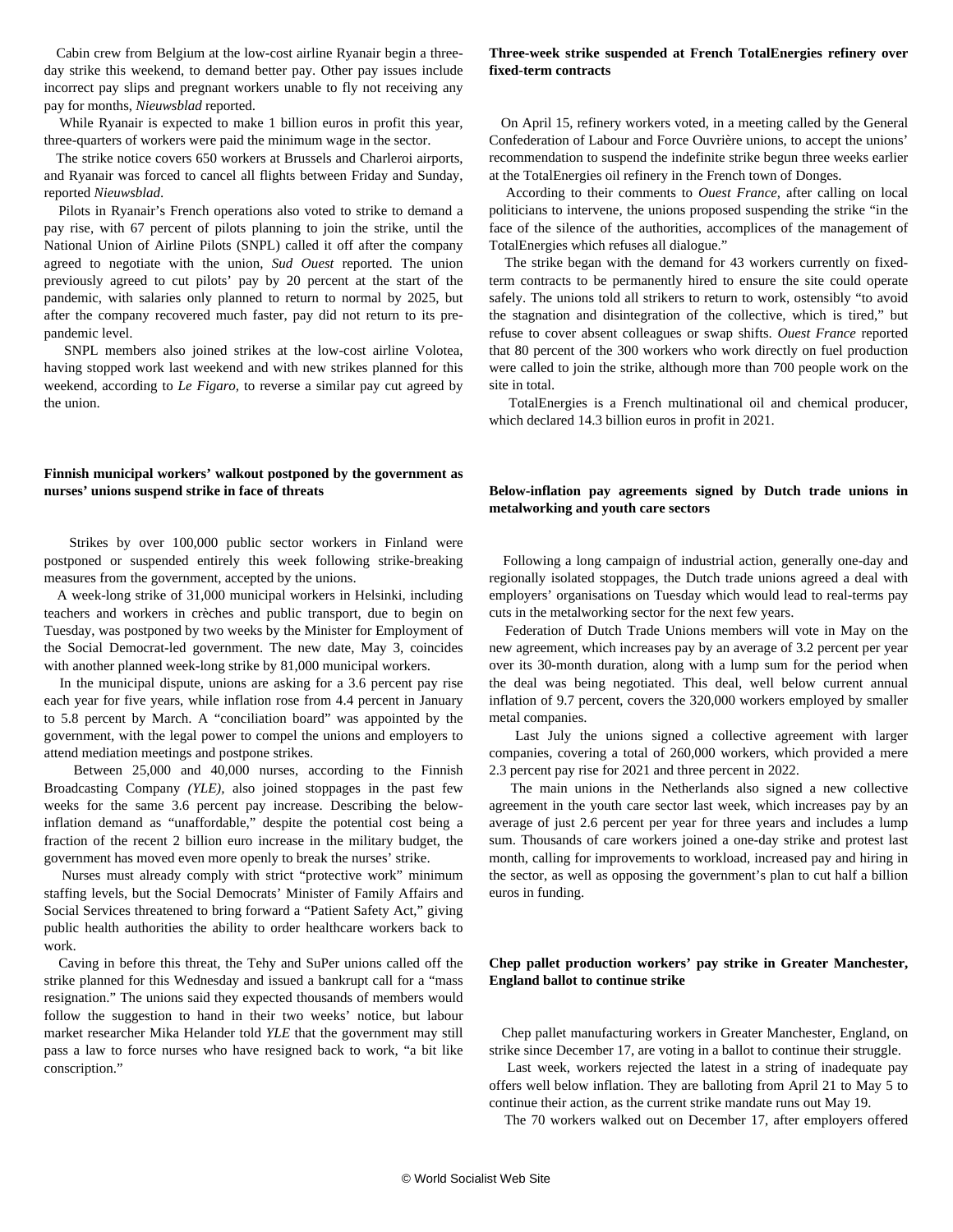Cabin crew from Belgium at the low-cost airline Ryanair begin a threeday strike this weekend, to demand better pay. Other pay issues include incorrect pay slips and pregnant workers unable to fly not receiving any pay for months, *Nieuwsblad* reported.

 While Ryanair is expected to make 1 billion euros in profit this year, three-quarters of workers were paid the minimum wage in the sector.

 The strike notice covers 650 workers at Brussels and Charleroi airports, and Ryanair was forced to cancel all flights between Friday and Sunday, reported *Nieuwsblad*.

 Pilots in Ryanair's French operations also voted to strike to demand a pay rise, with 67 percent of pilots planning to join the strike, until the National Union of Airline Pilots (SNPL) called it off after the company agreed to negotiate with the union, *Sud Ouest* reported. The union previously agreed to cut pilots' pay by 20 percent at the start of the pandemic, with salaries only planned to return to normal by 2025, but after the company recovered much faster, pay did not return to its prepandemic level.

 SNPL members also joined strikes at the low-cost airline Volotea, having stopped work last weekend and with new strikes planned for this weekend, according to *Le Figaro,* to reverse a similar pay cut agreed by the union.

## **Finnish municipal workers' walkout postponed by the government as nurses' unions suspend strike in face of threats**

 Strikes by over 100,000 public sector workers in Finland were postponed or suspended entirely this week following strike-breaking measures from the government, accepted by the unions.

 A week-long strike of 31,000 municipal workers in Helsinki, including teachers and workers in crèches and public transport, due to begin on Tuesday, was postponed by two weeks by the Minister for Employment of the Social Democrat-led government. The new date, May 3, coincides with another planned week-long strike by 81,000 municipal workers.

 In the municipal dispute, unions are asking for a 3.6 percent pay rise each year for five years, while inflation rose from 4.4 percent in January to 5.8 percent by March. A "conciliation board" was appointed by the government, with the legal power to compel the unions and employers to attend mediation meetings and postpone strikes.

 Between 25,000 and 40,000 nurses, according to the Finnish Broadcasting Company *(YLE),* also joined stoppages in the past few weeks for the same 3.6 percent pay increase. Describing the belowinflation demand as "unaffordable," despite the potential cost being a fraction of the recent 2 billion euro increase in the military budget, the government has moved even more openly to break the nurses' strike.

 Nurses must already comply with strict "protective work" minimum staffing levels, but the Social Democrats' Minister of Family Affairs and Social Services threatened to bring forward a "Patient Safety Act," giving public health authorities the ability to order healthcare workers back to work.

 Caving in before this threat, the Tehy and SuPer unions called off the strike planned for this Wednesday and issued a bankrupt call for a "mass resignation." The unions said they expected thousands of members would follow the suggestion to hand in their two weeks' notice, but labour market researcher Mika Helander told *YLE* that the government may still pass a law to force nurses who have resigned back to work, "a bit like conscription."

### **Three-week strike suspended at French TotalEnergies refinery over fixed-term contracts**

 On April 15, refinery workers voted, in a meeting called by the General Confederation of Labour and Force Ouvrière unions, to accept the unions' recommendation to suspend the indefinite strike begun three weeks earlier at the TotalEnergies oil refinery in the French town of Donges.

 According to their comments to *Ouest France*, after calling on local politicians to intervene, the unions proposed suspending the strike "in the face of the silence of the authorities, accomplices of the management of TotalEnergies which refuses all dialogue."

 The strike began with the demand for 43 workers currently on fixedterm contracts to be permanently hired to ensure the site could operate safely. The unions told all strikers to return to work, ostensibly "to avoid the stagnation and disintegration of the collective, which is tired," but refuse to cover absent colleagues or swap shifts. *Ouest France* reported that 80 percent of the 300 workers who work directly on fuel production were called to join the strike, although more than 700 people work on the site in total.

 TotalEnergies is a French multinational oil and chemical producer, which declared 14.3 billion euros in profit in 2021.

## **Below-inflation pay agreements signed by Dutch trade unions in metalworking and youth care sectors**

 Following a long campaign of industrial action, generally one-day and regionally isolated stoppages, the Dutch trade unions agreed a deal with employers' organisations on Tuesday which would lead to real-terms pay cuts in the metalworking sector for the next few years.

 Federation of Dutch Trade Unions members will vote in May on the new agreement, which increases pay by an average of 3.2 percent per year over its 30-month duration, along with a lump sum for the period when the deal was being negotiated. This deal, well below current annual inflation of 9.7 percent, covers the 320,000 workers employed by smaller metal companies.

 Last July the unions signed a collective agreement with larger companies, covering a total of 260,000 workers, which provided a mere 2.3 percent pay rise for 2021 and three percent in 2022.

 The main unions in the Netherlands also signed a new collective agreement in the youth care sector last week, which increases pay by an average of just 2.6 percent per year for three years and includes a lump sum. Thousands of care workers joined a one-day strike and protest last month, calling for improvements to workload, increased pay and hiring in the sector, as well as opposing the government's plan to cut half a billion euros in funding.

## **Chep pallet production workers' pay strike in Greater Manchester, England ballot to continue strike**

 Chep pallet manufacturing workers in Greater Manchester, England, on strike since December 17, are voting in a ballot to continue their struggle.

 Last week, workers rejected the latest in a string of inadequate pay offers well below inflation. They are balloting from April 21 to May 5 to continue their action, as the current strike mandate runs out May 19.

The 70 workers walked out on December 17, after employers offered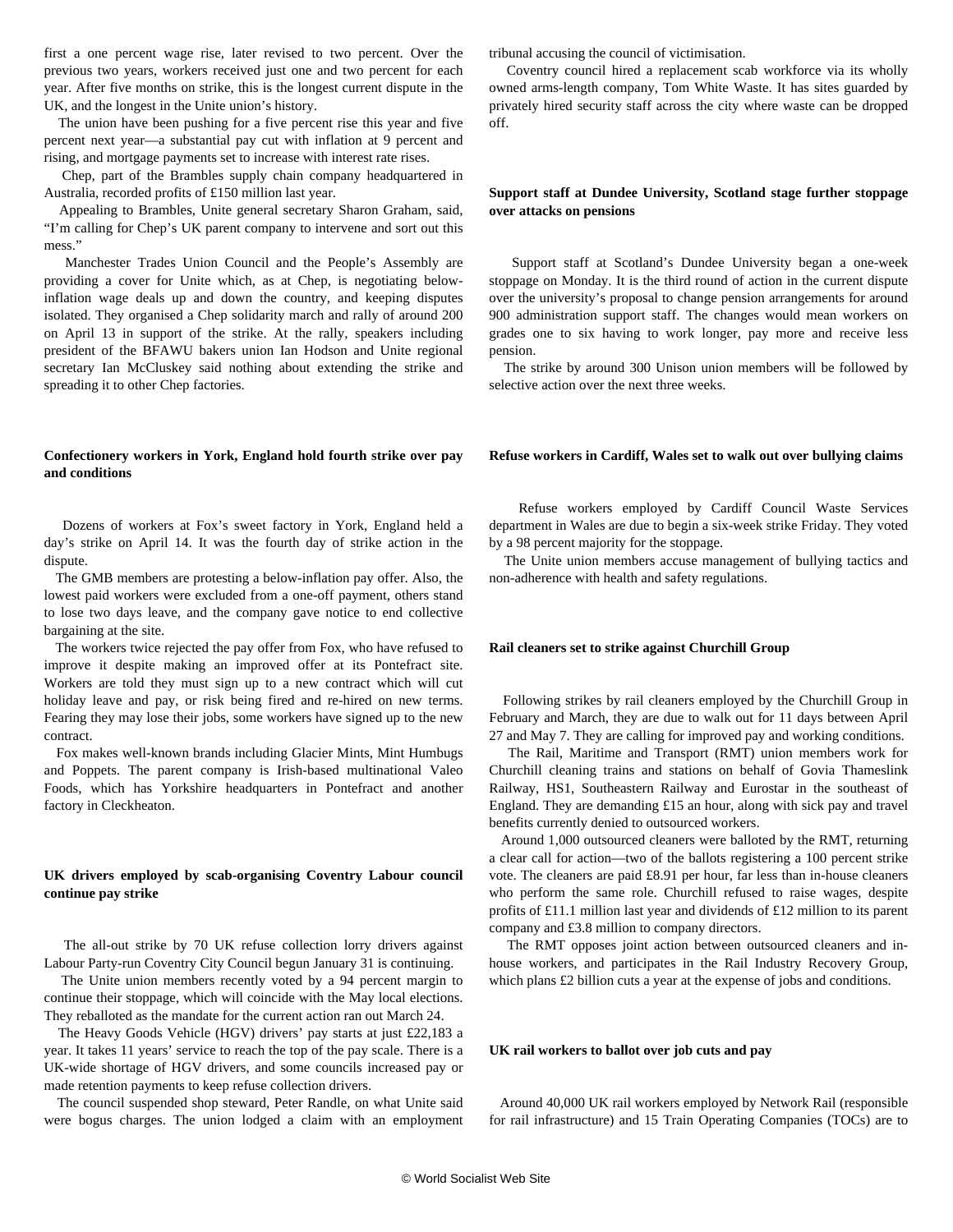first a one percent wage rise, later revised to two percent. Over the previous two years, workers received just one and two percent for each year. After five months on strike, this is the longest current dispute in the UK, and the longest in the Unite union's history.

 The union have been pushing for a five percent rise this year and five percent next year—a substantial pay cut with inflation at 9 percent and rising, and mortgage payments set to increase with interest rate rises.

 Chep, part of the Brambles supply chain company headquartered in Australia, recorded profits of £150 million last year.

 Appealing to Brambles, Unite general secretary Sharon Graham, said, "I'm calling for Chep's UK parent company to intervene and sort out this mess."

 Manchester Trades Union Council and the People's Assembly are providing a cover for Unite which, as at Chep, is negotiating belowinflation wage deals up and down the country, and keeping disputes isolated. They organised a Chep solidarity march and rally of around 200 on April 13 in support of the strike. At the rally, speakers including president of the BFAWU bakers union Ian Hodson and Unite regional secretary Ian McCluskey said nothing about extending the strike and spreading it to other Chep factories.

## **Confectionery workers in York, England hold fourth strike over pay and conditions**

 Dozens of workers at Fox's sweet factory in York, England held a day's strike on April 14. It was the fourth day of strike action in the dispute.

 The GMB members are protesting a below-inflation pay offer. Also, the lowest paid workers were excluded from a one-off payment, others stand to lose two days leave, and the company gave notice to end collective bargaining at the site.

 The workers twice rejected the pay offer from Fox, who have refused to improve it despite making an improved offer at its Pontefract site. Workers are told they must sign up to a new contract which will cut holiday leave and pay, or risk being fired and re-hired on new terms. Fearing they may lose their jobs, some workers have signed up to the new contract.

 Fox makes well-known brands including Glacier Mints, Mint Humbugs and Poppets. The parent company is Irish-based multinational Valeo Foods, which has Yorkshire headquarters in Pontefract and another factory in Cleckheaton.

## **UK drivers employed by scab-organising Coventry Labour council continue pay strike**

 The all-out strike by 70 UK refuse collection lorry drivers against Labour Party-run Coventry City Council begun January 31 is continuing.

 The Unite union members recently voted by a 94 percent margin to continue their stoppage, which will coincide with the May local elections. They reballoted as the mandate for the current action ran out March 24.

 The Heavy Goods Vehicle (HGV) drivers' pay starts at just £22,183 a year. It takes 11 years' service to reach the top of the pay scale. There is a UK-wide shortage of HGV drivers, and some councils increased pay or made retention payments to keep refuse collection drivers.

 The council suspended shop steward, Peter Randle, on what Unite said were bogus charges. The union lodged a claim with an employment tribunal accusing the council of victimisation.

 Coventry council hired a replacement scab workforce via its wholly owned arms-length company, Tom White Waste. It has sites guarded by privately hired security staff across the city where waste can be dropped off.

## **Support staff at Dundee University, Scotland stage further stoppage over attacks on pensions**

 Support staff at Scotland's Dundee University began a one-week stoppage on Monday. It is the third round of action in the current dispute over the university's proposal to change pension arrangements for around 900 administration support staff. The changes would mean workers on grades one to six having to work longer, pay more and receive less pension.

 The strike by around 300 Unison union members will be followed by selective action over the next three weeks.

#### **Refuse workers in Cardiff, Wales set to walk out over bullying claims**

 Refuse workers employed by Cardiff Council Waste Services department in Wales are due to begin a six-week strike Friday. They voted by a 98 percent majority for the stoppage.

 The Unite union members accuse management of bullying tactics and non-adherence with health and safety regulations.

#### **Rail cleaners set to strike against Churchill Group**

 Following strikes by rail cleaners employed by the Churchill Group in February and March, they are due to walk out for 11 days between April 27 and May 7. They are calling for improved pay and working conditions.

 The Rail, Maritime and Transport (RMT) union members work for Churchill cleaning trains and stations on behalf of Govia Thameslink Railway, HS1, Southeastern Railway and Eurostar in the southeast of England. They are demanding £15 an hour, along with sick pay and travel benefits currently denied to outsourced workers.

 Around 1,000 outsourced cleaners were balloted by the RMT, returning a clear call for action—two of the ballots registering a 100 percent strike vote. The cleaners are paid £8.91 per hour, far less than in-house cleaners who perform the same role. Churchill refused to raise wages, despite profits of £11.1 million last year and dividends of £12 million to its parent company and £3.8 million to company directors.

 The RMT opposes joint action between outsourced cleaners and inhouse workers, and participates in the Rail Industry Recovery Group, which plans £2 billion cuts a year at the expense of jobs and conditions.

#### **UK rail workers to ballot over job cuts and pay**

 Around 40,000 UK rail workers employed by Network Rail (responsible for rail infrastructure) and 15 Train Operating Companies (TOCs) are to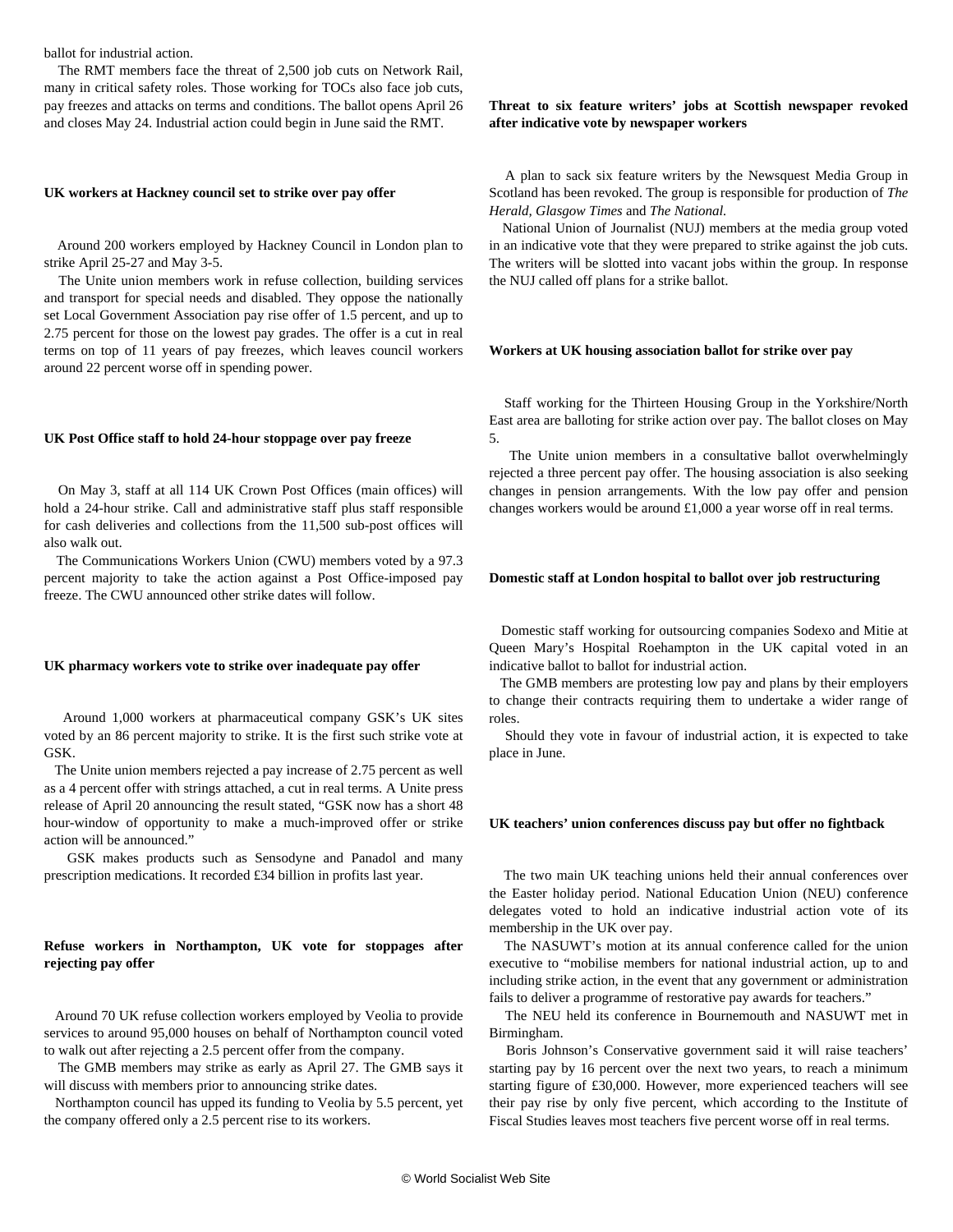ballot for industrial action.

 The RMT members face the threat of 2,500 job cuts on Network Rail, many in critical safety roles. Those working for TOCs also face job cuts, pay freezes and attacks on terms and conditions. The ballot opens April 26 and closes May 24. Industrial action could begin in June said the RMT.

#### **UK workers at Hackney council set to strike over pay offer**

 Around 200 workers employed by Hackney Council in London plan to strike April 25-27 and May 3-5.

 The Unite union members work in refuse collection, building services and transport for special needs and disabled. They oppose the nationally set Local Government Association pay rise offer of 1.5 percent, and up to 2.75 percent for those on the lowest pay grades. The offer is a cut in real terms on top of 11 years of pay freezes, which leaves council workers around 22 percent worse off in spending power.

#### **UK Post Office staff to hold 24-hour stoppage over pay freeze**

 On May 3, staff at all 114 UK Crown Post Offices (main offices) will hold a 24-hour strike. Call and administrative staff plus staff responsible for cash deliveries and collections from the 11,500 sub-post offices will also walk out.

 The Communications Workers Union (CWU) members voted by a 97.3 percent majority to take the action against a Post Office-imposed pay freeze. The CWU announced other strike dates will follow.

#### **UK pharmacy workers vote to strike over inadequate pay offer**

 Around 1,000 workers at pharmaceutical company GSK's UK sites voted by an 86 percent majority to strike. It is the first such strike vote at GSK.

 The Unite union members rejected a pay increase of 2.75 percent as well as a 4 percent offer with strings attached, a cut in real terms. A Unite press release of April 20 announcing the result stated, "GSK now has a short 48 hour-window of opportunity to make a much-improved offer or strike action will be announced."

 GSK makes products such as Sensodyne and Panadol and many prescription medications. It recorded £34 billion in profits last year.

## **Refuse workers in Northampton, UK vote for stoppages after rejecting pay offer**

 Around 70 UK refuse collection workers employed by Veolia to provide services to around 95,000 houses on behalf of Northampton council voted to walk out after rejecting a 2.5 percent offer from the company.

 The GMB members may strike as early as April 27. The GMB says it will discuss with members prior to announcing strike dates.

 Northampton council has upped its funding to Veolia by 5.5 percent, yet the company offered only a 2.5 percent rise to its workers.

## **Threat to six feature writers' jobs at Scottish newspaper revoked after indicative vote by newspaper workers**

 A plan to sack six feature writers by the Newsquest Media Group in Scotland has been revoked. The group is responsible for production of *The Herald, Glasgow Times* and *The National.*

 National Union of Journalist (NUJ) members at the media group voted in an indicative vote that they were prepared to strike against the job cuts. The writers will be slotted into vacant jobs within the group. In response the NUJ called off plans for a strike ballot.

#### **Workers at UK housing association ballot for strike over pay**

 Staff working for the Thirteen Housing Group in the Yorkshire/North East area are balloting for strike action over pay. The ballot closes on May 5.

 The Unite union members in a consultative ballot overwhelmingly rejected a three percent pay offer. The housing association is also seeking changes in pension arrangements. With the low pay offer and pension changes workers would be around £1,000 a year worse off in real terms.

#### **Domestic staff at London hospital to ballot over job restructuring**

 Domestic staff working for outsourcing companies Sodexo and Mitie at Queen Mary's Hospital Roehampton in the UK capital voted in an indicative ballot to ballot for industrial action.

 The GMB members are protesting low pay and plans by their employers to change their contracts requiring them to undertake a wider range of roles.

 Should they vote in favour of industrial action, it is expected to take place in June.

#### **UK teachers' union conferences discuss pay but offer no fightback**

 The two main UK teaching unions held their annual conferences over the Easter holiday period. National Education Union (NEU) conference delegates voted to hold an indicative industrial action vote of its membership in the UK over pay.

 The NASUWT's motion at its annual conference called for the union executive to "mobilise members for national industrial action, up to and including strike action, in the event that any government or administration fails to deliver a programme of restorative pay awards for teachers."

 The NEU held its conference in Bournemouth and NASUWT met in Birmingham.

 Boris Johnson's Conservative government said it will raise teachers' starting pay by 16 percent over the next two years, to reach a minimum starting figure of £30,000. However, more experienced teachers will see their pay rise by only five percent, which according to the Institute of Fiscal Studies leaves most teachers five percent worse off in real terms.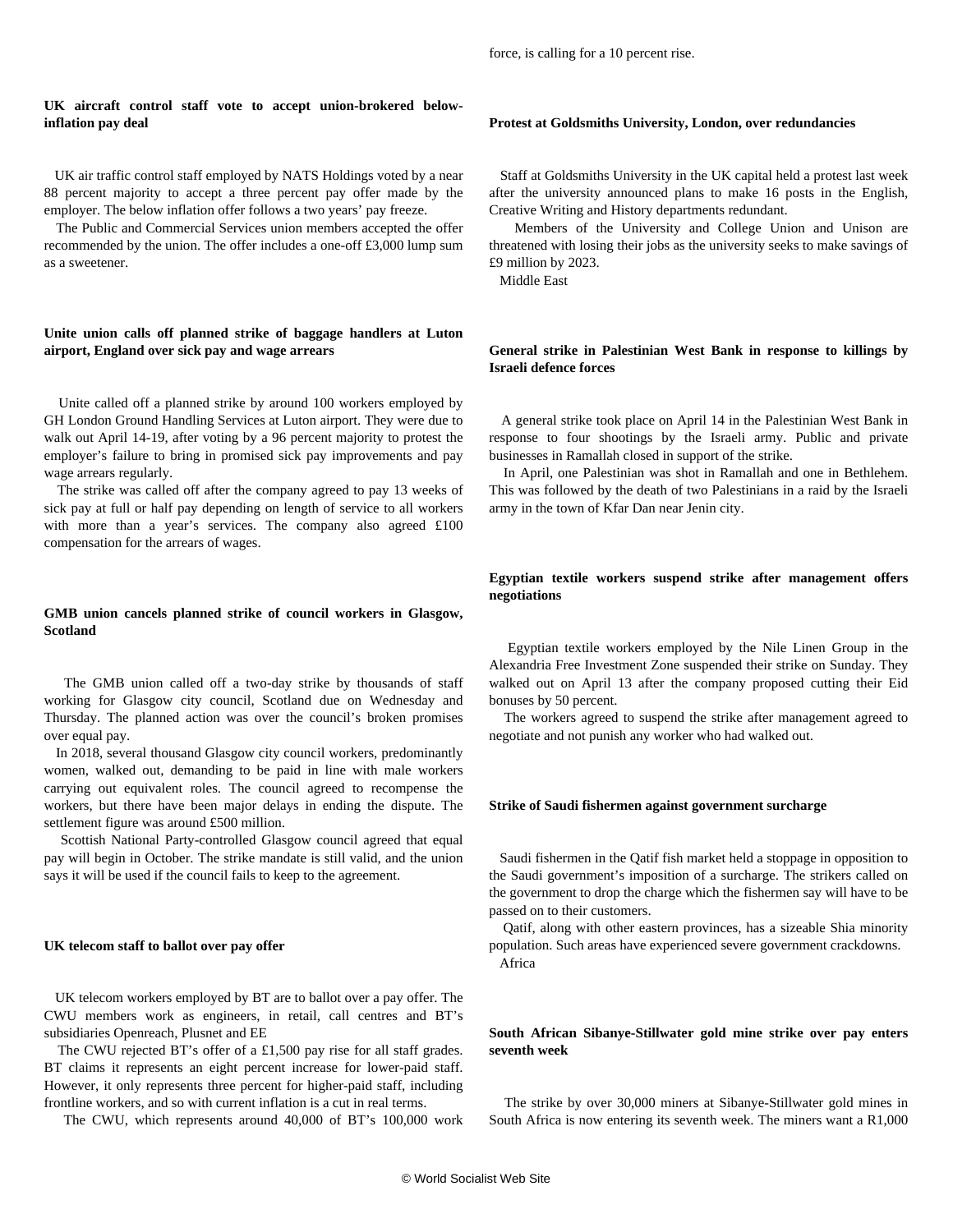## **UK aircraft control staff vote to accept union-brokered belowinflation pay deal**

 UK air traffic control staff employed by NATS Holdings voted by a near 88 percent majority to accept a three percent pay offer made by the employer. The below inflation offer follows a two years' pay freeze.

 The Public and Commercial Services union members accepted the offer recommended by the union. The offer includes a one-off £3,000 lump sum as a sweetener.

## **Unite union calls off planned strike of baggage handlers at Luton airport, England over sick pay and wage arrears**

 Unite called off a planned strike by around 100 workers employed by GH London Ground Handling Services at Luton airport. They were due to walk out April 14-19, after voting by a 96 percent majority to protest the employer's failure to bring in promised sick pay improvements and pay wage arrears regularly.

 The strike was called off after the company agreed to pay 13 weeks of sick pay at full or half pay depending on length of service to all workers with more than a year's services. The company also agreed £100 compensation for the arrears of wages.

## **GMB union cancels planned strike of council workers in Glasgow, Scotland**

 The GMB union called off a two-day strike by thousands of staff working for Glasgow city council, Scotland due on Wednesday and Thursday. The planned action was over the council's broken promises over equal pay.

 In 2018, several thousand Glasgow city council workers, predominantly women, walked out, demanding to be paid in line with male workers carrying out equivalent roles. The council agreed to recompense the workers, but there have been major delays in ending the dispute. The settlement figure was around £500 million.

 Scottish National Party-controlled Glasgow council agreed that equal pay will begin in October. The strike mandate is still valid, and the union says it will be used if the council fails to keep to the agreement.

#### **UK telecom staff to ballot over pay offer**

 UK telecom workers employed by BT are to ballot over a pay offer. The CWU members work as engineers, in retail, call centres and BT's subsidiaries Openreach, Plusnet and EE

 The CWU rejected BT's offer of a £1,500 pay rise for all staff grades. BT claims it represents an eight percent increase for lower-paid staff. However, it only represents three percent for higher-paid staff, including frontline workers, and so with current inflation is a cut in real terms.

The CWU, which represents around 40,000 of BT's 100,000 work

#### **Protest at Goldsmiths University, London, over redundancies**

 Staff at Goldsmiths University in the UK capital held a protest last week after the university announced plans to make 16 posts in the English, Creative Writing and History departments redundant.

 Members of the University and College Union and Unison are threatened with losing their jobs as the university seeks to make savings of £9 million by 2023.

Middle East

## **General strike in Palestinian West Bank in response to killings by Israeli defence forces**

 A general strike took place on April 14 in the Palestinian West Bank in response to four shootings by the Israeli army. Public and private businesses in Ramallah closed in support of the strike.

 In April, one Palestinian was shot in Ramallah and one in Bethlehem. This was followed by the death of two Palestinians in a raid by the Israeli army in the town of Kfar Dan near Jenin city.

## **Egyptian textile workers suspend strike after management offers negotiations**

 Egyptian textile workers employed by the Nile Linen Group in the Alexandria Free Investment Zone suspended their strike on Sunday. They walked out on April 13 after the company proposed cutting their Eid bonuses by 50 percent.

 The workers agreed to suspend the strike after management agreed to negotiate and not punish any worker who had walked out.

#### **Strike of Saudi fishermen against government surcharge**

 Saudi fishermen in the Qatif fish market held a stoppage in opposition to the Saudi government's imposition of a surcharge. The strikers called on the government to drop the charge which the fishermen say will have to be passed on to their customers.

 Qatif, along with other eastern provinces, has a sizeable Shia minority population. Such areas have experienced severe government crackdowns. Africa

## **South African Sibanye-Stillwater gold mine strike over pay enters seventh week**

 The strike by over 30,000 miners at Sibanye-Stillwater gold mines in South Africa is now entering its seventh week. The miners want a R1,000